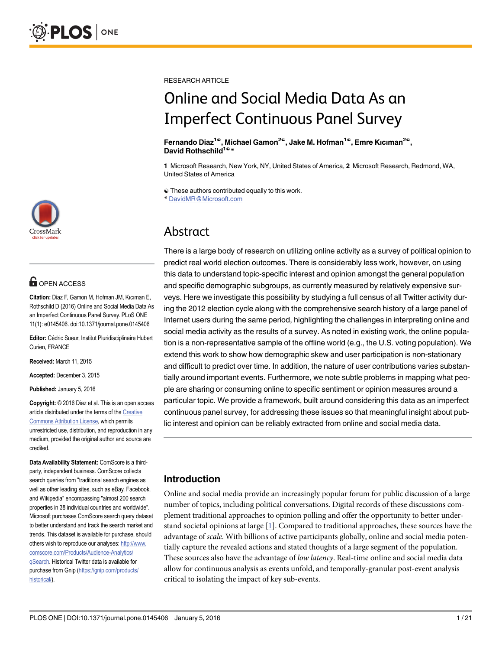

# **OPEN ACCESS**

Citation: Diaz F, Gamon M, Hofman JM, Kıcıman E, Rothschild D (2016) Online and Social Media Data As an Imperfect Continuous Panel Survey. PLoS ONE 11(1): e0145406. doi:10.1371/journal.pone.0145406

Editor: Cédric Sueur, Institut Pluridisciplinaire Hubert Curien, FRANCE

Received: March 11, 2015

Accepted: December 3, 2015

Published: January 5, 2016

Copyright: © 2016 Diaz et al. This is an open access article distributed under the terms of the [Creative](http://creativecommons.org/licenses/by/4.0/) [Commons Attribution License](http://creativecommons.org/licenses/by/4.0/), which permits unrestricted use, distribution, and reproduction in any medium, provided the original author and source are credited.

Data Availability Statement: ComScore is a thirdparty, independent business. ComScore collects search queries from "traditional search engines as well as other leading sites, such as eBay, Facebook, and Wikipedia" encompassing "almost 200 search properties in 38 individual countries and worldwide". Microsoft purchases ComScore search query dataset to better understand and track the search market and trends. This dataset is available for purchase, should others wish to reproduce our analyses: [http://www.](http://www.comscore.com/Products/Audience-Analytics/qSearch) [comscore.com/Products/Audience-Analytics/](http://www.comscore.com/Products/Audience-Analytics/qSearch) [qSearch.](http://www.comscore.com/Products/Audience-Analytics/qSearch) Historical Twitter data is available for purchase from Gnip [\(https://gnip.com/products/](https://gnip.com/products/historical/) [historical/\)](https://gnip.com/products/historical/).

<span id="page-0-0"></span>RESEARCH ARTICLE

# Online and Social Media Data As an Imperfect Continuous Panel Survey

Fernando Diaz<sup>1©</sup>, Michael Gamon<sup>2©</sup>, Jake M. Hofman<sup>1©</sup>, Emre Kıcıman<sup>2©</sup>, David Rothschild<sup>1©</sup>\*

1 Microsoft Research, New York, NY, United States of America, 2 Microsoft Research, Redmond, WA, United States of America

☯ These authors contributed equally to this work.

\* DavidMR@Microsoft.com

# Abstract

There is a large body of research on utilizing online activity as a survey of political opinion to predict real world election outcomes. There is considerably less work, however, on using this data to understand topic-specific interest and opinion amongst the general population and specific demographic subgroups, as currently measured by relatively expensive surveys. Here we investigate this possibility by studying a full census of all Twitter activity during the 2012 election cycle along with the comprehensive search history of a large panel of Internet users during the same period, highlighting the challenges in interpreting online and social media activity as the results of a survey. As noted in existing work, the online population is a non-representative sample of the offline world (e.g., the U.S. voting population). We extend this work to show how demographic skew and user participation is non-stationary and difficult to predict over time. In addition, the nature of user contributions varies substantially around important events. Furthermore, we note subtle problems in mapping what people are sharing or consuming online to specific sentiment or opinion measures around a particular topic. We provide a framework, built around considering this data as an imperfect continuous panel survey, for addressing these issues so that meaningful insight about public interest and opinion can be reliably extracted from online and social media data.

# Introduction

Online and social media provide an increasingly popular forum for public discussion of a large number of topics, including political conversations. Digital records of these discussions complement traditional approaches to opinion polling and offer the opportunity to better understand societal opinions at large  $[1]$  $[1]$ . Compared to traditional approaches, these sources have the advantage of scale. With billions of active participants globally, online and social media potentially capture the revealed actions and stated thoughts of a large segment of the population. These sources also have the advantage of low latency. Real-time online and social media data allow for continuous analysis as events unfold, and temporally-granular post-event analysis critical to isolating the impact of key sub-events.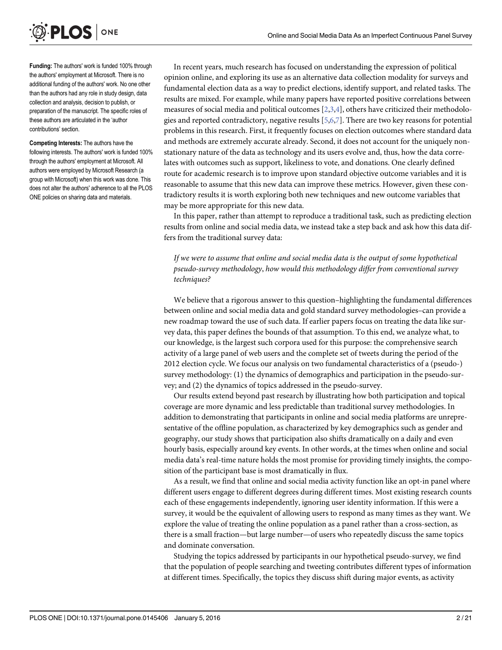<span id="page-1-0"></span>

Funding: The authors' work is funded 100% through the authors' employment at Microsoft. There is no additional funding of the authors' work. No one other than the authors had any role in study design, data collection and analysis, decision to publish, or preparation of the manuscript. The specific roles of these authors are articulated in the 'author contributions' section.

Competing Interests: The authors have the following interests. The authors' work is funded 100% through the authors' employment at Microsoft. All authors were employed by Microsoft Research (a group with Microsoft) when this work was done. This does not alter the authors' adherence to all the PLOS ONE policies on sharing data and materials.

In recent years, much research has focused on understanding the expression of political opinion online, and exploring its use as an alternative data collection modality for surveys and fundamental election data as a way to predict elections, identify support, and related tasks. The results are mixed. For example, while many papers have reported positive correlations between measures of social media and political outcomes [[2](#page-18-0),[3](#page-18-0),[4](#page-18-0)], others have criticized their methodologies and reported contradictory, negative results  $[5,6,7]$  $[5,6,7]$ . There are two key reasons for potential problems in this research. First, it frequently focuses on election outcomes where standard data and methods are extremely accurate already. Second, it does not account for the uniquely nonstationary nature of the data as technology and its users evolve and, thus, how the data correlates with outcomes such as support, likeliness to vote, and donations. One clearly defined route for academic research is to improve upon standard objective outcome variables and it is reasonable to assume that this new data can improve these metrics. However, given these contradictory results it is worth exploring both new techniques and new outcome variables that may be more appropriate for this new data.

In this paper, rather than attempt to reproduce a traditional task, such as predicting election results from online and social media data, we instead take a step back and ask how this data differs from the traditional survey data:

#### If we were to assume that online and social media data is the output of some hypothetical pseudo-survey methodology, how would this methodology differ from conventional survey techniques?

We believe that a rigorous answer to this question–highlighting the fundamental differences between online and social media data and gold standard survey methodologies–can provide a new roadmap toward the use of such data. If earlier papers focus on treating the data like survey data, this paper defines the bounds of that assumption. To this end, we analyze what, to our knowledge, is the largest such corpora used for this purpose: the comprehensive search activity of a large panel of web users and the complete set of tweets during the period of the 2012 election cycle. We focus our analysis on two fundamental characteristics of a (pseudo-) survey methodology: (1) the dynamics of demographics and participation in the pseudo-survey; and (2) the dynamics of topics addressed in the pseudo-survey.

Our results extend beyond past research by illustrating how both participation and topical coverage are more dynamic and less predictable than traditional survey methodologies. In addition to demonstrating that participants in online and social media platforms are unrepresentative of the offline population, as characterized by key demographics such as gender and geography, our study shows that participation also shifts dramatically on a daily and even hourly basis, especially around key events. In other words, at the times when online and social media data's real-time nature holds the most promise for providing timely insights, the composition of the participant base is most dramatically in flux.

As a result, we find that online and social media activity function like an opt-in panel where different users engage to different degrees during different times. Most existing research counts each of these engagements independently, ignoring user identity information. If this were a survey, it would be the equivalent of allowing users to respond as many times as they want. We explore the value of treating the online population as a panel rather than a cross-section, as there is a small fraction—but large number—of users who repeatedly discuss the same topics and dominate conversation.

Studying the topics addressed by participants in our hypothetical pseudo-survey, we find that the population of people searching and tweeting contributes different types of information at different times. Specifically, the topics they discuss shift during major events, as activity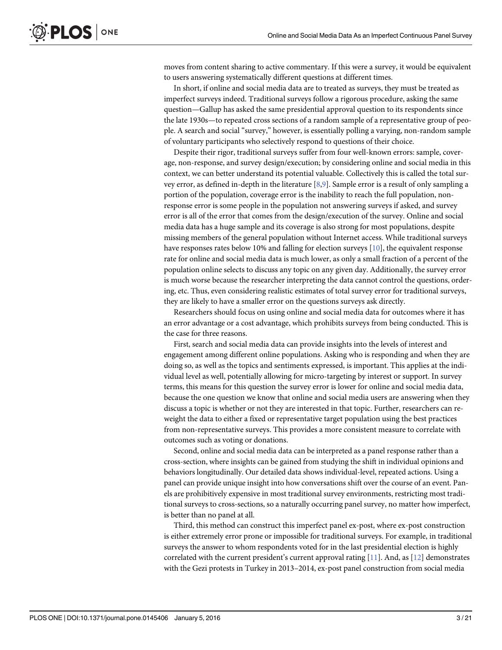<span id="page-2-0"></span>moves from content sharing to active commentary. If this were a survey, it would be equivalent to users answering systematically different questions at different times.

In short, if online and social media data are to treated as surveys, they must be treated as imperfect surveys indeed. Traditional surveys follow a rigorous procedure, asking the same question—Gallup has asked the same presidential approval question to its respondents since the late 1930s—to repeated cross sections of a random sample of a representative group of people. A search and social "survey," however, is essentially polling a varying, non-random sample of voluntary participants who selectively respond to questions of their choice.

Despite their rigor, traditional surveys suffer from four well-known errors: sample, coverage, non-response, and survey design/execution; by considering online and social media in this context, we can better understand its potential valuable. Collectively this is called the total survey error, as defined in-depth in the literature  $[8,9]$  $[8,9]$ . Sample error is a result of only sampling a portion of the population, coverage error is the inability to reach the full population, nonresponse error is some people in the population not answering surveys if asked, and survey error is all of the error that comes from the design/execution of the survey. Online and social media data has a huge sample and its coverage is also strong for most populations, despite missing members of the general population without Internet access. While traditional surveys have responses rates below 10% and falling for election surveys  $[10]$  $[10]$ , the equivalent response rate for online and social media data is much lower, as only a small fraction of a percent of the population online selects to discuss any topic on any given day. Additionally, the survey error is much worse because the researcher interpreting the data cannot control the questions, ordering, etc. Thus, even considering realistic estimates of total survey error for traditional surveys, they are likely to have a smaller error on the questions surveys ask directly.

Researchers should focus on using online and social media data for outcomes where it has an error advantage or a cost advantage, which prohibits surveys from being conducted. This is the case for three reasons.

First, search and social media data can provide insights into the levels of interest and engagement among different online populations. Asking who is responding and when they are doing so, as well as the topics and sentiments expressed, is important. This applies at the individual level as well, potentially allowing for micro-targeting by interest or support. In survey terms, this means for this question the survey error is lower for online and social media data, because the one question we know that online and social media users are answering when they discuss a topic is whether or not they are interested in that topic. Further, researchers can reweight the data to either a fixed or representative target population using the best practices from non-representative surveys. This provides a more consistent measure to correlate with outcomes such as voting or donations.

Second, online and social media data can be interpreted as a panel response rather than a cross-section, where insights can be gained from studying the shift in individual opinions and behaviors longitudinally. Our detailed data shows individual-level, repeated actions. Using a panel can provide unique insight into how conversations shift over the course of an event. Panels are prohibitively expensive in most traditional survey environments, restricting most traditional surveys to cross-sections, so a naturally occurring panel survey, no matter how imperfect, is better than no panel at all.

Third, this method can construct this imperfect panel ex-post, where ex-post construction is either extremely error prone or impossible for traditional surveys. For example, in traditional surveys the answer to whom respondents voted for in the last presidential election is highly correlated with the current president's current approval rating  $[11]$ . And, as  $[12]$  demonstrates with the Gezi protests in Turkey in 2013–2014, ex-post panel construction from social media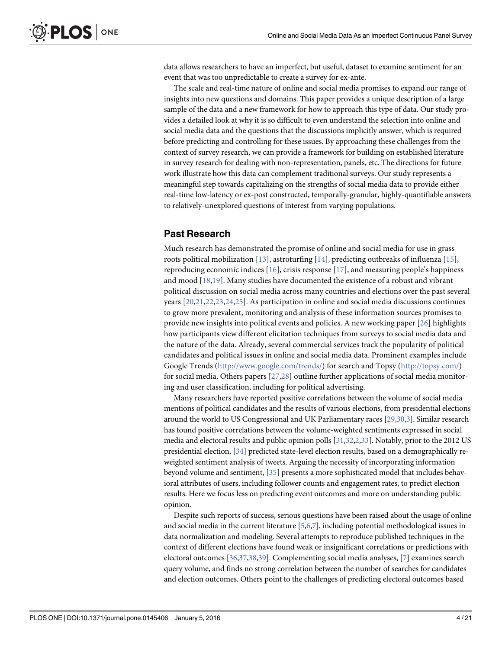<span id="page-3-0"></span>data allows researchers to have an imperfect, but useful, dataset to examine sentiment for an event that was too unpredictable to create a survey for ex-ante.

The scale and real-time nature of online and social media promises to expand our range of insights into new questions and domains. This paper provides a unique description of a large sample of the data and a new framework for how to approach this type of data. Our study provides a detailed look at why it is so difficult to even understand the selection into online and social media data and the questions that the discussions implicitly answer, which is required before predicting and controlling for these issues. By approaching these challenges from the context of survey research, we can provide a framework for building on established literature in survey research for dealing with non-representation, panels, etc. The directions for future work illustrate how this data can complement traditional surveys. Our study represents a meaningful step towards capitalizing on the strengths of social media data to provide either real-time low-latency or ex-post constructed, temporally-granular, highly-quantifiable answers to relatively-unexplored questions of interest from varying populations.

# Past Research

Much research has demonstrated the promise of online and social media for use in grass roots political mobilization [\[13](#page-18-0)], astroturfing [[14\]](#page-18-0), predicting outbreaks of influenza [\[15](#page-18-0)], reproducing economic indices  $[16]$  $[16]$ , crisis response  $[17]$ , and measuring people's happiness and mood [[18,19\]](#page-18-0). Many studies have documented the existence of a robust and vibrant political discussion on social media across many countries and elections over the past several years [[20](#page-18-0),[21](#page-18-0),[22,23,24,25\]](#page-18-0). As participation in online and social media discussions continues to grow more prevalent, monitoring and analysis of these information sources promises to provide new insights into political events and policies. A new working paper  $[26]$  $[26]$  $[26]$  highlights how participants view different elicitation techniques from surveys to social media data and the nature of the data. Already, several commercial services track the popularity of political candidates and political issues in online and social media data. Prominent examples include Google Trends ([http://www.google.com/trends/\)](http://www.google.com/trends/) for search and Topsy (<http://topsy.com/>) for social media. Others papers [[27,28\]](#page-19-0) outline further applications of social media monitoring and user classification, including for political advertising.

Many researchers have reported positive correlations between the volume of social media mentions of political candidates and the results of various elections, from presidential elections around the world to US Congressional and UK Parliamentary races [\[29,30,](#page-19-0)[3](#page-18-0)]. Similar research has found positive correlations between the volume-weighted sentiments expressed in social media and electoral results and public opinion polls [[31](#page-19-0),[32](#page-19-0)[,2](#page-18-0)[,33](#page-19-0)]. Notably, prior to the 2012 US presidential election, [[34](#page-19-0)] predicted state-level election results, based on a demographically reweighted sentiment analysis of tweets. Arguing the necessity of incorporating information beyond volume and sentiment, [\[35\]](#page-19-0) presents a more sophisticated model that includes behavioral attributes of users, including follower counts and engagement rates, to predict election results. Here we focus less on predicting event outcomes and more on understanding public opinion.

Despite such reports of success, serious questions have been raised about the usage of online and social media in the current literature  $[5,6,7]$  $[5,6,7]$ , including potential methodological issues in data normalization and modeling. Several attempts to reproduce published techniques in the context of different elections have found weak or insignificant correlations or predictions with electoral outcomes [[36](#page-19-0),[37,38,39\]](#page-19-0). Complementing social media analyses, [\[7](#page-18-0)] examines search query volume, and finds no strong correlation between the number of searches for candidates and election outcomes. Others point to the challenges of predicting electoral outcomes based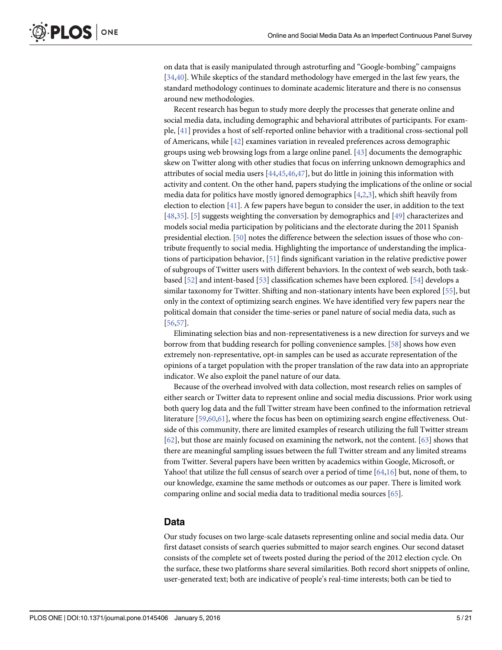<span id="page-4-0"></span>on data that is easily manipulated through astroturfing and "Google-bombing" campaigns [\[34,40\]](#page-19-0). While skeptics of the standard methodology have emerged in the last few years, the standard methodology continues to dominate academic literature and there is no consensus around new methodologies.

Recent research has begun to study more deeply the processes that generate online and social media data, including demographic and behavioral attributes of participants. For example, [[41](#page-19-0)] provides a host of self-reported online behavior with a traditional cross-sectional poll of Americans, while [[42](#page-19-0)] examines variation in revealed preferences across demographic groups using web browsing logs from a large online panel. [[43\]](#page-19-0) documents the demographic skew on Twitter along with other studies that focus on inferring unknown demographics and attributes of social media users  $[44,45,46,47]$  $[44,45,46,47]$  $[44,45,46,47]$  $[44,45,46,47]$ , but do little in joining this information with activity and content. On the other hand, papers studying the implications of the online or social media data for politics have mostly ignored demographics [[4,2,3\]](#page-18-0), which shift heavily from election to election [\[41\]](#page-19-0). A few papers have begun to consider the user, in addition to the text [ $48,35$ ]. [\[5\]](#page-18-0) suggests weighting the conversation by demographics and [ $49$ ] characterizes and models social media participation by politicians and the electorate during the 2011 Spanish presidential election. [[50](#page-20-0)] notes the difference between the selection issues of those who contribute frequently to social media. Highlighting the importance of understanding the implications of participation behavior, [\[51\]](#page-20-0) finds significant variation in the relative predictive power of subgroups of Twitter users with different behaviors. In the context of web search, both taskbased [\[52\]](#page-20-0) and intent-based [[53](#page-20-0)] classification schemes have been explored. [[54](#page-20-0)] develops a similar taxonomy for Twitter. Shifting and non-stationary intents have been explored [\[55\]](#page-20-0), but only in the context of optimizing search engines. We have identified very few papers near the political domain that consider the time-series or panel nature of social media data, such as [\[56,57\]](#page-20-0).

Eliminating selection bias and non-representativeness is a new direction for surveys and we borrow from that budding research for polling convenience samples. [[58](#page-20-0)] shows how even extremely non-representative, opt-in samples can be used as accurate representation of the opinions of a target population with the proper translation of the raw data into an appropriate indicator. We also exploit the panel nature of our data.

Because of the overhead involved with data collection, most research relies on samples of either search or Twitter data to represent online and social media discussions. Prior work using both query log data and the full Twitter stream have been confined to the information retrieval literature [[59,60](#page-20-0),[61](#page-20-0)], where the focus has been on optimizing search engine effectiveness. Outside of this community, there are limited examples of research utilizing the full Twitter stream  $[62]$  $[62]$ , but those are mainly focused on examining the network, not the content.  $[63]$  $[63]$  $[63]$  shows that there are meaningful sampling issues between the full Twitter stream and any limited streams from Twitter. Several papers have been written by academics within Google, Microsoft, or Yahoo! that utilize the full census of search over a period of time [\[64](#page-20-0)[,16\]](#page-18-0) but, none of them, to our knowledge, examine the same methods or outcomes as our paper. There is limited work comparing online and social media data to traditional media sources [\[65](#page-20-0)].

#### Data

Our study focuses on two large-scale datasets representing online and social media data. Our first dataset consists of search queries submitted to major search engines. Our second dataset consists of the complete set of tweets posted during the period of the 2012 election cycle. On the surface, these two platforms share several similarities. Both record short snippets of online, user-generated text; both are indicative of people's real-time interests; both can be tied to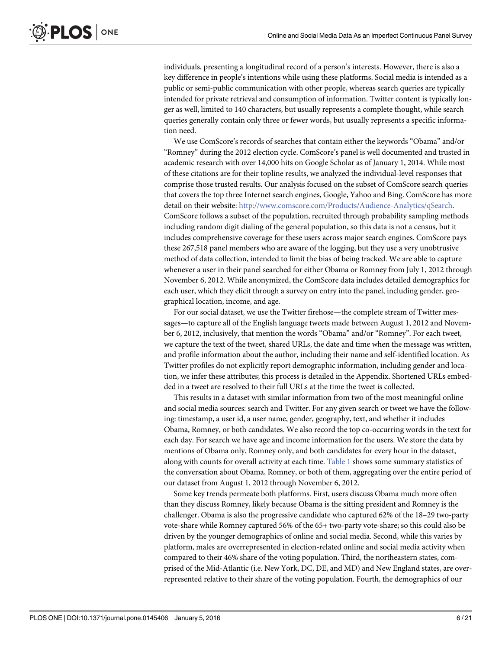<span id="page-5-0"></span>individuals, presenting a longitudinal record of a person's interests. However, there is also a key difference in people's intentions while using these platforms. Social media is intended as a public or semi-public communication with other people, whereas search queries are typically intended for private retrieval and consumption of information. Twitter content is typically longer as well, limited to 140 characters, but usually represents a complete thought, while search queries generally contain only three or fewer words, but usually represents a specific information need.

We use ComScore's records of searches that contain either the keywords "Obama" and/or "Romney" during the 2012 election cycle. ComScore's panel is well documented and trusted in academic research with over 14,000 hits on Google Scholar as of January 1, 2014. While most of these citations are for their topline results, we analyzed the individual-level responses that comprise those trusted results. Our analysis focused on the subset of ComScore search queries that covers the top three Internet search engines, Google, Yahoo and Bing. ComScore has more detail on their website: <http://www.comscore.com/Products/Audience-Analytics/qSearch>. ComScore follows a subset of the population, recruited through probability sampling methods including random digit dialing of the general population, so this data is not a census, but it includes comprehensive coverage for these users across major search engines. ComScore pays these 267,518 panel members who are aware of the logging, but they use a very unobtrusive method of data collection, intended to limit the bias of being tracked. We are able to capture whenever a user in their panel searched for either Obama or Romney from July 1, 2012 through November 6, 2012. While anonymized, the ComScore data includes detailed demographics for each user, which they elicit through a survey on entry into the panel, including gender, geographical location, income, and age.

For our social dataset, we use the Twitter firehose—the complete stream of Twitter messages—to capture all of the English language tweets made between August 1, 2012 and November 6, 2012, inclusively, that mention the words "Obama" and/or "Romney". For each tweet, we capture the text of the tweet, shared URLs, the date and time when the message was written, and profile information about the author, including their name and self-identified location. As Twitter profiles do not explicitly report demographic information, including gender and location, we infer these attributes; this process is detailed in the Appendix. Shortened URLs embedded in a tweet are resolved to their full URLs at the time the tweet is collected.

This results in a dataset with similar information from two of the most meaningful online and social media sources: search and Twitter. For any given search or tweet we have the following: timestamp, a user id, a user name, gender, geography, text, and whether it includes Obama, Romney, or both candidates. We also record the top co-occurring words in the text for each day. For search we have age and income information for the users. We store the data by mentions of Obama only, Romney only, and both candidates for every hour in the dataset, along with counts for overall activity at each time. [Table 1](#page-6-0) shows some summary statistics of the conversation about Obama, Romney, or both of them, aggregating over the entire period of our dataset from August 1, 2012 through November 6, 2012.

Some key trends permeate both platforms. First, users discuss Obama much more often than they discuss Romney, likely because Obama is the sitting president and Romney is the challenger. Obama is also the progressive candidate who captured 62% of the 18–29 two-party vote-share while Romney captured 56% of the 65+ two-party vote-share; so this could also be driven by the younger demographics of online and social media. Second, while this varies by platform, males are overrepresented in election-related online and social media activity when compared to their 46% share of the voting population. Third, the northeastern states, comprised of the Mid-Atlantic (i.e. New York, DC, DE, and MD) and New England states, are overrepresented relative to their share of the voting population. Fourth, the demographics of our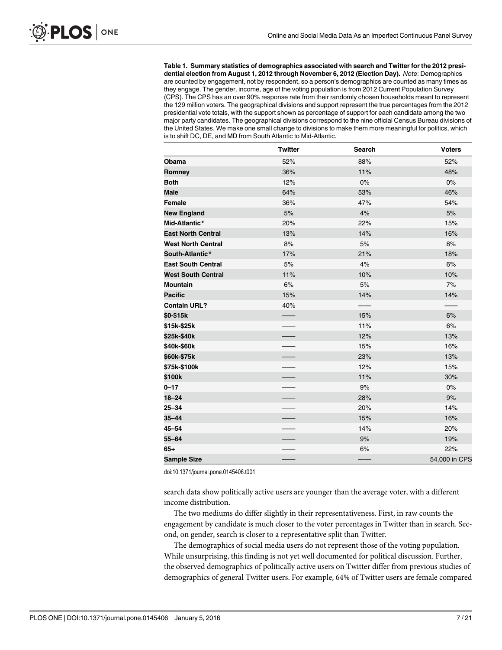<span id="page-6-0"></span>[Table 1.](#page-5-0) Summary statistics of demographics associated with search and Twitter for the 2012 presidential election from August 1, 2012 through November 6, 2012 (Election Day). Note: Demographics are counted by engagement, not by respondent, so a person's demographics are counted as many times as they engage. The gender, income, age of the voting population is from 2012 Current Population Survey (CPS). The CPS has an over 90% response rate from their randomly chosen households meant to represent the 129 million voters. The geographical divisions and support represent the true percentages from the 2012 presidential vote totals, with the support shown as percentage of support for each candidate among the two major party candidates. The geographical divisions correspond to the nine official Census Bureau divisions of the United States. We make one small change to divisions to make them more meaningful for politics, which is to shift DC, DE, and MD from South Atlantic to Mid-Atlantic.

|                           | <b>Twitter</b> | Search | <b>Voters</b> |
|---------------------------|----------------|--------|---------------|
| Obama                     | 52%            | 88%    | 52%           |
| Romney                    | 36%            | 11%    | 48%           |
| <b>Both</b>               | 12%            | $0\%$  | $0\%$         |
| <b>Male</b>               | 64%            | 53%    | 46%           |
| <b>Female</b>             | 36%            | 47%    | 54%           |
| <b>New England</b>        | 5%             | 4%     | 5%            |
| Mid-Atlantic*             | 20%            | 22%    | 15%           |
| <b>East North Central</b> | 13%            | 14%    | 16%           |
| <b>West North Central</b> | 8%             | 5%     | $8%$          |
| South-Atlantic*           | 17%            | 21%    | 18%           |
| <b>East South Central</b> | 5%             | 4%     | 6%            |
| <b>West South Central</b> | 11%            | 10%    | 10%           |
| <b>Mountain</b>           | 6%             | 5%     | 7%            |
| <b>Pacific</b>            | 15%            | 14%    | 14%           |
| <b>Contain URL?</b>       | 40%            |        |               |
| \$0-\$15k                 |                | 15%    | 6%            |
| \$15k-\$25k               |                | 11%    | 6%            |
| \$25k-\$40k               |                | 12%    | 13%           |
| \$40k-\$60k               |                | 15%    | 16%           |
| \$60k-\$75k               |                | 23%    | 13%           |
| \$75k-\$100k              |                | 12%    | 15%           |
| \$100k                    |                | 11%    | 30%           |
| $0 - 17$                  |                | 9%     | $0\%$         |
| $18 - 24$                 |                | 28%    | 9%            |
| $25 - 34$                 |                | 20%    | 14%           |
| $35 - 44$                 |                | 15%    | 16%           |
| $45 - 54$                 |                | 14%    | 20%           |
| $55 - 64$                 |                | 9%     | 19%           |
| $65+$                     |                | 6%     | 22%           |
| <b>Sample Size</b>        |                |        | 54,000 in CPS |

doi:10.1371/journal.pone.0145406.t001

search data show politically active users are younger than the average voter, with a different income distribution.

The two mediums do differ slightly in their representativeness. First, in raw counts the engagement by candidate is much closer to the voter percentages in Twitter than in search. Second, on gender, search is closer to a representative split than Twitter.

The demographics of social media users do not represent those of the voting population. While unsurprising, this finding is not yet well documented for political discussion. Further, the observed demographics of politically active users on Twitter differ from previous studies of demographics of general Twitter users. For example, 64% of Twitter users are female compared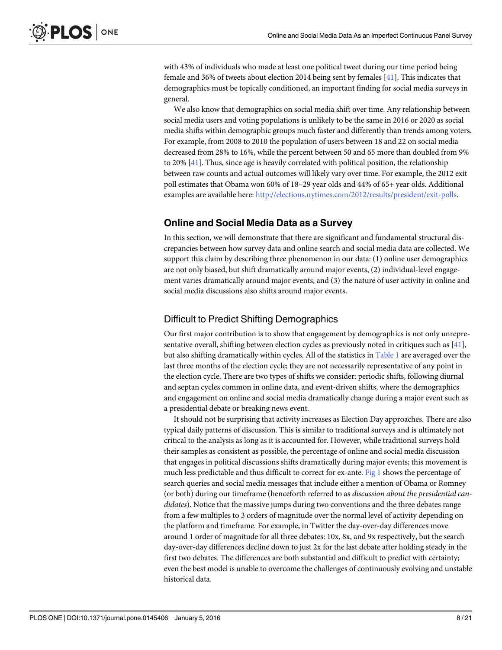<span id="page-7-0"></span>with 43% of individuals who made at least one political tweet during our time period being female and 36% of tweets about election 2014 being sent by females [\[41](#page-19-0)]. This indicates that demographics must be topically conditioned, an important finding for social media surveys in general.

We also know that demographics on social media shift over time. Any relationship between social media users and voting populations is unlikely to be the same in 2016 or 2020 as social media shifts within demographic groups much faster and differently than trends among voters. For example, from 2008 to 2010 the population of users between 18 and 22 on social media decreased from 28% to 16%, while the percent between 50 and 65 more than doubled from 9% to 20% [[41\]](#page-19-0). Thus, since age is heavily correlated with political position, the relationship between raw counts and actual outcomes will likely vary over time. For example, the 2012 exit poll estimates that Obama won 60% of 18–29 year olds and 44% of 65+ year olds. Additional examples are available here: <http://elections.nytimes.com/2012/results/president/exit-polls>.

# Online and Social Media Data as a Survey

In this section, we will demonstrate that there are significant and fundamental structural discrepancies between how survey data and online search and social media data are collected. We support this claim by describing three phenomenon in our data: (1) online user demographics are not only biased, but shift dramatically around major events, (2) individual-level engagement varies dramatically around major events, and (3) the nature of user activity in online and social media discussions also shifts around major events.

#### Difficult to Predict Shifting Demographics

Our first major contribution is to show that engagement by demographics is not only unrepresentative overall, shifting between election cycles as previously noted in critiques such as [[41\]](#page-19-0), but also shifting dramatically within cycles. All of the statistics in [Table 1](#page-6-0) are averaged over the last three months of the election cycle; they are not necessarily representative of any point in the election cycle. There are two types of shifts we consider: periodic shifts, following diurnal and septan cycles common in online data, and event-driven shifts, where the demographics and engagement on online and social media dramatically change during a major event such as a presidential debate or breaking news event.

It should not be surprising that activity increases as Election Day approaches. There are also typical daily patterns of discussion. This is similar to traditional surveys and is ultimately not critical to the analysis as long as it is accounted for. However, while traditional surveys hold their samples as consistent as possible, the percentage of online and social media discussion that engages in political discussions shifts dramatically during major events; this movement is much less predictable and thus difficult to correct for ex-ante. [Fig 1](#page-8-0) shows the percentage of search queries and social media messages that include either a mention of Obama or Romney (or both) during our timeframe (henceforth referred to as discussion about the presidential candidates). Notice that the massive jumps during two conventions and the three debates range from a few multiples to 3 orders of magnitude over the normal level of activity depending on the platform and timeframe. For example, in Twitter the day-over-day differences move around 1 order of magnitude for all three debates: 10x, 8x, and 9x respectively, but the search day-over-day differences decline down to just 2x for the last debate after holding steady in the first two debates. The differences are both substantial and difficult to predict with certainty; even the best model is unable to overcome the challenges of continuously evolving and unstable historical data.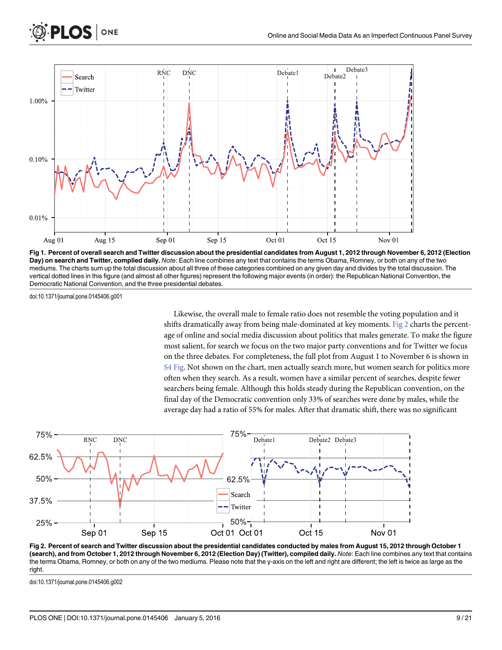<span id="page-8-0"></span>

[Fig 1. P](#page-7-0)ercent of overall search and Twitter discussion about the presidential candidates from August 1, 2012 through November 6, 2012 (Election Day) on search and Twitter, complied daily. Note: Each line combines any text that contains the terms Obama, Romney, or both on any of the two mediums. The charts sum up the total discussion about all three of these categories combined on any given day and divides by the total discussion. The vertical dotted lines in this figure (and almost all other figures) represent the following major events (in order): the Republican National Convention, the Democratic National Convention, and the three presidential debates.

**PLOS** 

ONE

Likewise, the overall male to female ratio does not resemble the voting population and it shifts dramatically away from being male-dominated at key moments. Fig 2 charts the percentage of online and social media discussion about politics that males generate. To make the figure most salient, for search we focus on the two major party conventions and for Twitter we focus on the three debates. For completeness, the full plot from August 1 to November 6 is shown in [S4 Fig](#page-17-0). Not shown on the chart, men actually search more, but women search for politics more often when they search. As a result, women have a similar percent of searches, despite fewer searchers being female. Although this holds steady during the Republican convention, on the final day of the Democratic convention only 33% of searches were done by males, while the average day had a ratio of 55% for males. After that dramatic shift, there was no significant



Fig 2. Percent of search and Twitter discussion about the presidential candidates conducted by males from August 15, 2012 through October 1 (search), and from October 1, 2012 through November 6, 2012 (Election Day) (Twitter), compiled daily. Note: Each line combines any text that contains the terms Obama, Romney, or both on any of the two mediums. Please note that the y-axis on the left and right are different; the left is twice as large as the right.

doi:10.1371/journal.pone.0145406.g002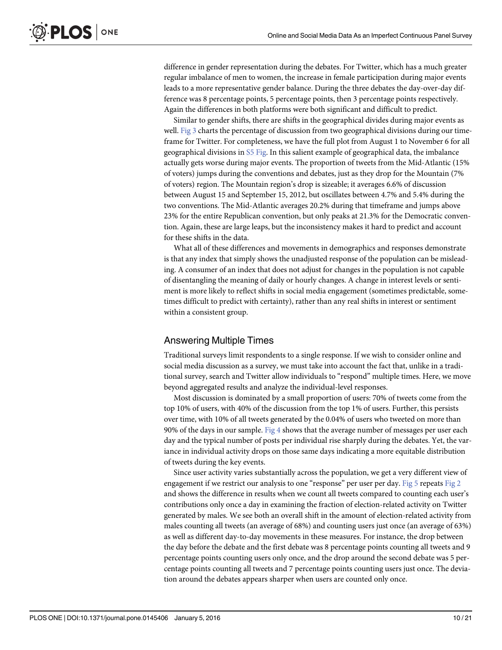<span id="page-9-0"></span>difference in gender representation during the debates. For Twitter, which has a much greater regular imbalance of men to women, the increase in female participation during major events leads to a more representative gender balance. During the three debates the day-over-day difference was 8 percentage points, 5 percentage points, then 3 percentage points respectively. Again the differences in both platforms were both significant and difficult to predict.

Similar to gender shifts, there are shifts in the geographical divides during major events as well. [Fig 3](#page-10-0) charts the percentage of discussion from two geographical divisions during our timeframe for Twitter. For completeness, we have the full plot from August 1 to November 6 for all geographical divisions in [S5 Fig.](#page-17-0) In this salient example of geographical data, the imbalance actually gets worse during major events. The proportion of tweets from the Mid-Atlantic (15% of voters) jumps during the conventions and debates, just as they drop for the Mountain (7% of voters) region. The Mountain region's drop is sizeable; it averages 6.6% of discussion between August 15 and September 15, 2012, but oscillates between 4.7% and 5.4% during the two conventions. The Mid-Atlantic averages 20.2% during that timeframe and jumps above 23% for the entire Republican convention, but only peaks at 21.3% for the Democratic convention. Again, these are large leaps, but the inconsistency makes it hard to predict and account for these shifts in the data.

What all of these differences and movements in demographics and responses demonstrate is that any index that simply shows the unadjusted response of the population can be misleading. A consumer of an index that does not adjust for changes in the population is not capable of disentangling the meaning of daily or hourly changes. A change in interest levels or sentiment is more likely to reflect shifts in social media engagement (sometimes predictable, sometimes difficult to predict with certainty), rather than any real shifts in interest or sentiment within a consistent group.

# Answering Multiple Times

Traditional surveys limit respondents to a single response. If we wish to consider online and social media discussion as a survey, we must take into account the fact that, unlike in a traditional survey, search and Twitter allow individuals to "respond" multiple times. Here, we move beyond aggregated results and analyze the individual-level responses.

Most discussion is dominated by a small proportion of users: 70% of tweets come from the top 10% of users, with 40% of the discussion from the top 1% of users. Further, this persists over time, with 10% of all tweets generated by the 0.04% of users who tweeted on more than 90% of the days in our sample. Fig  $4$  shows that the average number of messages per user each day and the typical number of posts per individual rise sharply during the debates. Yet, the variance in individual activity drops on those same days indicating a more equitable distribution of tweets during the key events.

Since user activity varies substantially across the population, we get a very different view of engagement if we restrict our analysis to one "response" per user per day. Fig  $\frac{1}{2}$  repeats Fig  $\frac{1}{2}$ and shows the difference in results when we count all tweets compared to counting each user's contributions only once a day in examining the fraction of election-related activity on Twitter generated by males. We see both an overall shift in the amount of election-related activity from males counting all tweets (an average of 68%) and counting users just once (an average of 63%) as well as different day-to-day movements in these measures. For instance, the drop between the day before the debate and the first debate was 8 percentage points counting all tweets and 9 percentage points counting users only once, and the drop around the second debate was 5 percentage points counting all tweets and 7 percentage points counting users just once. The deviation around the debates appears sharper when users are counted only once.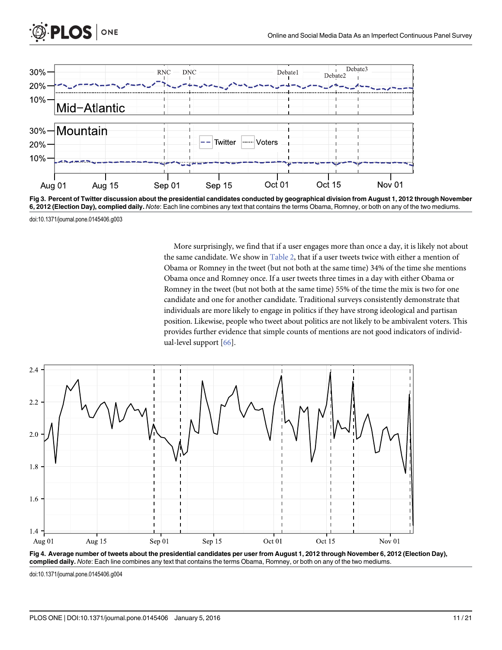<span id="page-10-0"></span>

[Fig 3. P](#page-9-0)ercent of Twitter discussion about the presidential candidates conducted by geographical division from August 1, 2012 through November 6, 2012 (Election Day), complied daily. Note: Each line combines any text that contains the terms Obama, Romney, or both on any of the two mediums.

More surprisingly, we find that if a user engages more than once a day, it is likely not about the same candidate. We show in [Table 2,](#page-11-0) that if a user tweets twice with either a mention of Obama or Romney in the tweet (but not both at the same time) 34% of the time she mentions Obama once and Romney once. If a user tweets three times in a day with either Obama or Romney in the tweet (but not both at the same time) 55% of the time the mix is two for one candidate and one for another candidate. Traditional surveys consistently demonstrate that individuals are more likely to engage in politics if they have strong ideological and partisan position. Likewise, people who tweet about politics are not likely to be ambivalent voters. This provides further evidence that simple counts of mentions are not good indicators of individ-ual-level support [\[66\]](#page-20-0).



[Fig 4. A](#page-9-0)verage number of tweets about the presidential candidates per user from August 1, 2012 through November 6, 2012 (Election Day), complied daily. Note: Each line combines any text that contains the terms Obama, Romney, or both on any of the two mediums.

doi:10.1371/journal.pone.0145406.g004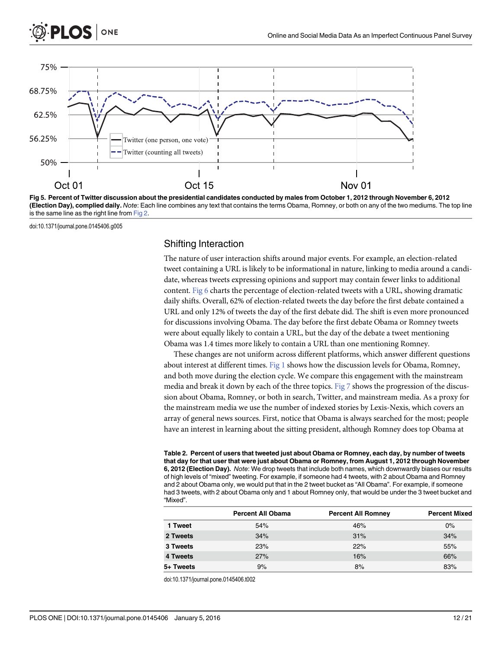<span id="page-11-0"></span>

[Fig 5. P](#page-9-0)ercent of Twitter discussion about the presidential candidates conducted by males from October 1, 2012 through November 6, 2012 (Election Day), complied daily. Note: Each line combines any text that contains the terms Obama, Romney, or both on any of the two mediums. The top line is the same line as the right line from [Fig 2.](#page-8-0)

#### Shifting Interaction

The nature of user interaction shifts around major events. For example, an election-related tweet containing a URL is likely to be informational in nature, linking to media around a candidate, whereas tweets expressing opinions and support may contain fewer links to additional content. [Fig 6](#page-12-0) charts the percentage of election-related tweets with a URL, showing dramatic daily shifts. Overall, 62% of election-related tweets the day before the first debate contained a URL and only 12% of tweets the day of the first debate did. The shift is even more pronounced for discussions involving Obama. The day before the first debate Obama or Romney tweets were about equally likely to contain a URL, but the day of the debate a tweet mentioning Obama was 1.4 times more likely to contain a URL than one mentioning Romney.

These changes are not uniform across different platforms, which answer different questions about interest at different times. [Fig 1](#page-8-0) shows how the discussion levels for Obama, Romney, and both move during the election cycle. We compare this engagement with the mainstream media and break it down by each of the three topics. Fig  $\frac{7}{2}$  shows the progression of the discussion about Obama, Romney, or both in search, Twitter, and mainstream media. As a proxy for the mainstream media we use the number of indexed stories by Lexis-Nexis, which covers an array of general news sources. First, notice that Obama is always searched for the most; people have an interest in learning about the sitting president, although Romney does top Obama at

[Table 2.](#page-10-0) Percent of users that tweeted just about Obama or Romney, each day, by number of tweets that day for that user that were just about Obama or Romney, from August 1, 2012 through November 6, 2012 (Election Day). Note: We drop tweets that include both names, which downwardly biases our results of high levels of "mixed" tweeting. For example, if someone had 4 tweets, with 2 about Obama and Romney and 2 about Obama only, we would put that in the 2 tweet bucket as "All Obama". For example, if someone had 3 tweets, with 2 about Obama only and 1 about Romney only, that would be under the 3 tweet bucket and "Mixed".

|           | <b>Percent All Obama</b> | <b>Percent All Romney</b> | <b>Percent Mixed</b> |
|-----------|--------------------------|---------------------------|----------------------|
| 1 Tweet   | 54%                      | 46%                       | $0\%$                |
| 2 Tweets  | 34%                      | 31%                       | 34%                  |
| 3 Tweets  | 23%                      | 22%                       | 55%                  |
| 4 Tweets  | 27%                      | 16%                       | 66%                  |
| 5+ Tweets | 9%                       | 8%                        | 83%                  |

doi:10.1371/journal.pone.0145406.t002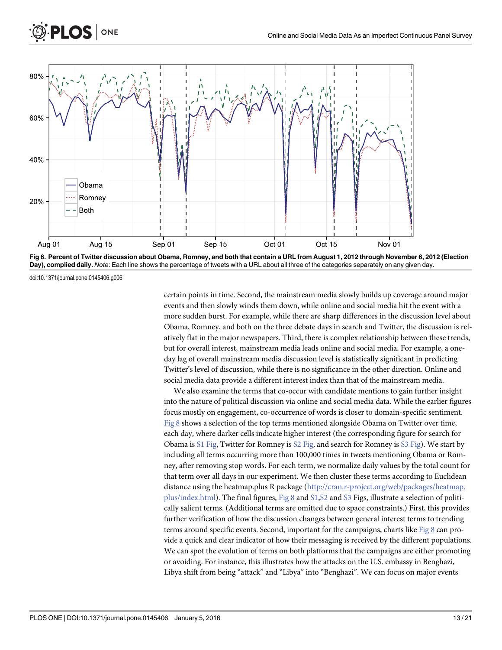<span id="page-12-0"></span>

[Fig 6. P](#page-11-0)ercent of Twitter discussion about Obama, Romney, and both that contain a URL from August 1, 2012 through November 6, 2012 (Election Day), complied daily. Note: Each line shows the percentage of tweets with a URL about all three of the categories separately on any given day.

LOS I

ONE

certain points in time. Second, the mainstream media slowly builds up coverage around major events and then slowly winds them down, while online and social media hit the event with a more sudden burst. For example, while there are sharp differences in the discussion level about Obama, Romney, and both on the three debate days in search and Twitter, the discussion is relatively flat in the major newspapers. Third, there is complex relationship between these trends, but for overall interest, mainstream media leads online and social media. For example, a oneday lag of overall mainstream media discussion level is statistically significant in predicting Twitter's level of discussion, while there is no significance in the other direction. Online and social media data provide a different interest index than that of the mainstream media.

We also examine the terms that co-occur with candidate mentions to gain further insight into the nature of political discussion via online and social media data. While the earlier figures focus mostly on engagement, co-occurrence of words is closer to domain-specific sentiment. [Fig 8](#page-14-0) shows a selection of the top terms mentioned alongside Obama on Twitter over time, each day, where darker cells indicate higher interest (the corresponding figure for search for Obama is  $S1$  Fig, Twitter for Romney is  $S2$  Fig, and search for Romney is  $S3$  Fig). We start by including all terms occurring more than 100,000 times in tweets mentioning Obama or Romney, after removing stop words. For each term, we normalize daily values by the total count for that term over all days in our experiment. We then cluster these terms according to Euclidean distance using the heatmap.plus R package ([http://cran.r-project.org/web/packages/heatmap.](http://cran.r-project.org/web/packages/heatmap.plus/index.html) [plus/index.html](http://cran.r-project.org/web/packages/heatmap.plus/index.html)). The final figures, [Fig 8](#page-14-0) and [S1,S2](#page-17-0) and [S3](#page-17-0) Figs, illustrate a selection of politically salient terms. (Additional terms are omitted due to space constraints.) First, this provides further verification of how the discussion changes between general interest terms to trending terms around specific events. Second, important for the campaigns, charts like [Fig 8](#page-14-0) can provide a quick and clear indicator of how their messaging is received by the different populations. We can spot the evolution of terms on both platforms that the campaigns are either promoting or avoiding. For instance, this illustrates how the attacks on the U.S. embassy in Benghazi, Libya shift from being "attack" and "Libya" into "Benghazi". We can focus on major events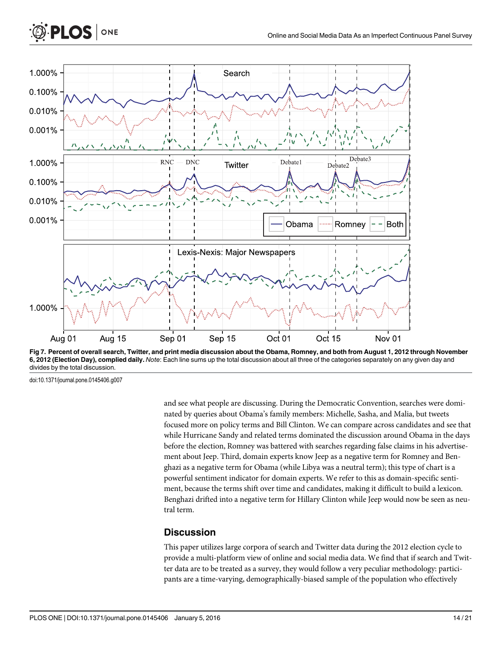**Both** 

Nov 01

<span id="page-13-0"></span>

divides by the total discussion. doi:10.1371/journal.pone.0145406.g007

Aug 15

Aug 01

1.000%

and see what people are discussing. During the Democratic Convention, searches were dominated by queries about Obama's family members: Michelle, Sasha, and Malia, but tweets focused more on policy terms and Bill Clinton. We can compare across candidates and see that while Hurricane Sandy and related terms dominated the discussion around Obama in the days before the election, Romney was battered with searches regarding false claims in his advertisement about Jeep. Third, domain experts know Jeep as a negative term for Romney and Benghazi as a negative term for Obama (while Libya was a neutral term); this type of chart is a powerful sentiment indicator for domain experts. We refer to this as domain-specific sentiment, because the terms shift over time and candidates, making it difficult to build a lexicon. Benghazi drifted into a negative term for Hillary Clinton while Jeep would now be seen as neutral term.

Oct 15

[Fig 7. P](#page-11-0)ercent of overall search, Twitter, and print media discussion about the Obama, Romney, and both from August 1, 2012 through November 6, 2012 (Election Day), complied daily. Note: Each line sums up the total discussion about all three of the categories separately on any given day and

Oct<sub>01</sub>

Sep 15

#### **Discussion**

Sep 01

This paper utilizes large corpora of search and Twitter data during the 2012 election cycle to provide a multi-platform view of online and social media data. We find that if search and Twitter data are to be treated as a survey, they would follow a very peculiar methodology: participants are a time-varying, demographically-biased sample of the population who effectively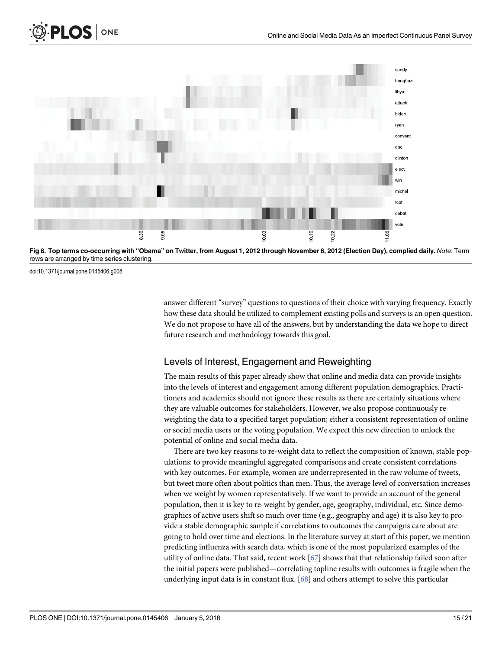<span id="page-14-0"></span>



[Fig 8. T](#page-12-0)op terms co-occurring with "Obama" on Twitter, from August 1, 2012 through November 6, 2012 (Election Day), complied daily. Note: Term rows are arranged by time series clustering.

answer different "survey" questions to questions of their choice with varying frequency. Exactly how these data should be utilized to complement existing polls and surveys is an open question. We do not propose to have all of the answers, but by understanding the data we hope to direct future research and methodology towards this goal.

#### Levels of Interest, Engagement and Reweighting

The main results of this paper already show that online and media data can provide insights into the levels of interest and engagement among different population demographics. Practitioners and academics should not ignore these results as there are certainly situations where they are valuable outcomes for stakeholders. However, we also propose continuously reweighting the data to a specified target population; either a consistent representation of online or social media users or the voting population. We expect this new direction to unlock the potential of online and social media data.

There are two key reasons to re-weight data to reflect the composition of known, stable populations: to provide meaningful aggregated comparisons and create consistent correlations with key outcomes. For example, women are underrepresented in the raw volume of tweets, but tweet more often about politics than men. Thus, the average level of conversation increases when we weight by women representatively. If we want to provide an account of the general population, then it is key to re-weight by gender, age, geography, individual, etc. Since demographics of active users shift so much over time (e.g., geography and age) it is also key to provide a stable demographic sample if correlations to outcomes the campaigns care about are going to hold over time and elections. In the literature survey at start of this paper, we mention predicting influenza with search data, which is one of the most popularized examples of the utility of online data. That said, recent work [[67](#page-20-0)] shows that that relationship failed soon after the initial papers were published—correlating topline results with outcomes is fragile when the underlying input data is in constant flux.  $[68]$  $[68]$  $[68]$  and others attempt to solve this particular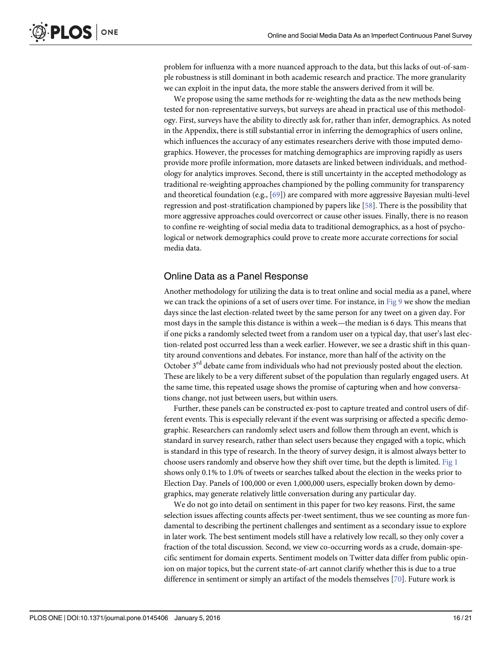<span id="page-15-0"></span>problem for influenza with a more nuanced approach to the data, but this lacks of out-of-sample robustness is still dominant in both academic research and practice. The more granularity we can exploit in the input data, the more stable the answers derived from it will be.

We propose using the same methods for re-weighting the data as the new methods being tested for non-representative surveys, but surveys are ahead in practical use of this methodology. First, surveys have the ability to directly ask for, rather than infer, demographics. As noted in the Appendix, there is still substantial error in inferring the demographics of users online, which influences the accuracy of any estimates researchers derive with those imputed demographics. However, the processes for matching demographics are improving rapidly as users provide more profile information, more datasets are linked between individuals, and methodology for analytics improves. Second, there is still uncertainty in the accepted methodology as traditional re-weighting approaches championed by the polling community for transparency and theoretical foundation (e.g., [\[69\]](#page-20-0)) are compared with more aggressive Bayesian multi-level regression and post-stratification championed by papers like [\[58\]](#page-20-0). There is the possibility that more aggressive approaches could overcorrect or cause other issues. Finally, there is no reason to confine re-weighting of social media data to traditional demographics, as a host of psychological or network demographics could prove to create more accurate corrections for social media data.

# Online Data as a Panel Response

Another methodology for utilizing the data is to treat online and social media as a panel, where we can track the opinions of a set of users over time. For instance, in [Fig 9](#page-16-0) we show the median days since the last election-related tweet by the same person for any tweet on a given day. For most days in the sample this distance is within a week—the median is 6 days. This means that if one picks a randomly selected tweet from a random user on a typical day, that user's last election-related post occurred less than a week earlier. However, we see a drastic shift in this quantity around conventions and debates. For instance, more than half of the activity on the October 3<sup>rd</sup> debate came from individuals who had not previously posted about the election. These are likely to be a very different subset of the population than regularly engaged users. At the same time, this repeated usage shows the promise of capturing when and how conversations change, not just between users, but within users.

Further, these panels can be constructed ex-post to capture treated and control users of different events. This is especially relevant if the event was surprising or affected a specific demographic. Researchers can randomly select users and follow them through an event, which is standard in survey research, rather than select users because they engaged with a topic, which is standard in this type of research. In the theory of survey design, it is almost always better to choose users randomly and observe how they shift over time, but the depth is limited. [Fig 1](#page-8-0) shows only 0.1% to 1.0% of tweets or searches talked about the election in the weeks prior to Election Day. Panels of 100,000 or even 1,000,000 users, especially broken down by demographics, may generate relatively little conversation during any particular day.

We do not go into detail on sentiment in this paper for two key reasons. First, the same selection issues affecting counts affects per-tweet sentiment, thus we see counting as more fundamental to describing the pertinent challenges and sentiment as a secondary issue to explore in later work. The best sentiment models still have a relatively low recall, so they only cover a fraction of the total discussion. Second, we view co-occurring words as a crude, domain-specific sentiment for domain experts. Sentiment models on Twitter data differ from public opinion on major topics, but the current state-of-art cannot clarify whether this is due to a true difference in sentiment or simply an artifact of the models themselves [\[70](#page-20-0)]. Future work is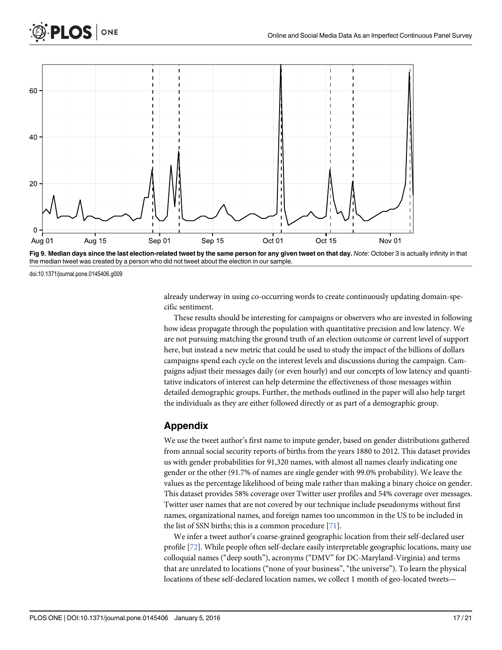<span id="page-16-0"></span>

[Fig 9. M](#page-15-0)edian days since the last election-related tweet by the same person for any given tweet on that day. Note: October 3 is actually infinity in that the median tweet was created by a person who did not tweet about the election in our sample.

ONE

LOS.

already underway in using co-occurring words to create continuously updating domain-specific sentiment.

These results should be interesting for campaigns or observers who are invested in following how ideas propagate through the population with quantitative precision and low latency. We are not pursuing matching the ground truth of an election outcome or current level of support here, but instead a new metric that could be used to study the impact of the billions of dollars campaigns spend each cycle on the interest levels and discussions during the campaign. Campaigns adjust their messages daily (or even hourly) and our concepts of low latency and quantitative indicators of interest can help determine the effectiveness of those messages within detailed demographic groups. Further, the methods outlined in the paper will also help target the individuals as they are either followed directly or as part of a demographic group.

#### Appendix

We use the tweet author's first name to impute gender, based on gender distributions gathered from annual social security reports of births from the years 1880 to 2012. This dataset provides us with gender probabilities for 91,320 names, with almost all names clearly indicating one gender or the other (91.7% of names are single gender with 99.0% probability). We leave the values as the percentage likelihood of being male rather than making a binary choice on gender. This dataset provides 58% coverage over Twitter user profiles and 54% coverage over messages. Twitter user names that are not covered by our technique include pseudonyms without first names, organizational names, and foreign names too uncommon in the US to be included in the list of SSN births; this is a common procedure  $[71]$  $[71]$ .

We infer a tweet author's coarse-grained geographic location from their self-declared user profile [[72](#page-20-0)]. While people often self-declare easily interpretable geographic locations, many use colloquial names ("deep south"), acronyms ("DMV" for DC-Maryland-Virginia) and terms that are unrelated to locations ("none of your business", "the universe"). To learn the physical locations of these self-declared location names, we collect 1 month of geo-located tweets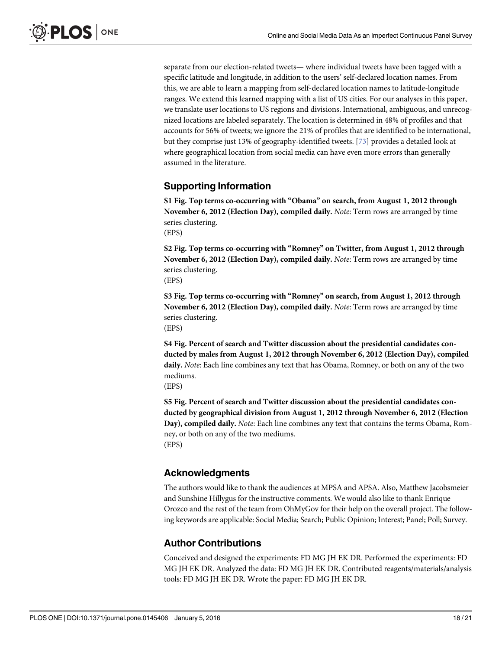<span id="page-17-0"></span>separate from our election-related tweets— where individual tweets have been tagged with a specific latitude and longitude, in addition to the users' self-declared location names. From this, we are able to learn a mapping from self-declared location names to latitude-longitude ranges. We extend this learned mapping with a list of US cities. For our analyses in this paper, we translate user locations to US regions and divisions. International, ambiguous, and unrecognized locations are labeled separately. The location is determined in 48% of profiles and that accounts for 56% of tweets; we ignore the 21% of profiles that are identified to be international, but they comprise just 13% of geography-identified tweets. [\[73\]](#page-20-0) provides a detailed look at where geographical location from social media can have even more errors than generally assumed in the literature.

# Supporting Information

[S1 Fig.](http://www.plosone.org/article/fetchSingleRepresentation.action?uri=info:doi/10.1371/journal.pone.0145406.s001) Top terms co-occurring with "Obama" on search, from August 1, 2012 through November 6, 2012 (Election Day), compiled daily. Note: Term rows are arranged by time series clustering.

(EPS)

[S2 Fig.](http://www.plosone.org/article/fetchSingleRepresentation.action?uri=info:doi/10.1371/journal.pone.0145406.s002) Top terms co-occurring with "Romney" on Twitter, from August 1, 2012 through November 6, 2012 (Election Day), compiled daily. Note: Term rows are arranged by time series clustering.

(EPS)

[S3 Fig.](http://www.plosone.org/article/fetchSingleRepresentation.action?uri=info:doi/10.1371/journal.pone.0145406.s003) Top terms co-occurring with "Romney" on search, from August 1, 2012 through November 6, 2012 (Election Day), compiled daily. Note: Term rows are arranged by time series clustering. (EPS)

[S4 Fig.](http://www.plosone.org/article/fetchSingleRepresentation.action?uri=info:doi/10.1371/journal.pone.0145406.s004) Percent of search and Twitter discussion about the presidential candidates conducted by males from August 1, 2012 through November 6, 2012 (Election Day), compiled daily. Note: Each line combines any text that has Obama, Romney, or both on any of the two mediums.

(EPS)

[S5 Fig.](http://www.plosone.org/article/fetchSingleRepresentation.action?uri=info:doi/10.1371/journal.pone.0145406.s005) Percent of search and Twitter discussion about the presidential candidates conducted by geographical division from August 1, 2012 through November 6, 2012 (Election Day), compiled daily. Note: Each line combines any text that contains the terms Obama, Romney, or both on any of the two mediums. (EPS)

# Acknowledgments

The authors would like to thank the audiences at MPSA and APSA. Also, Matthew Jacobsmeier and Sunshine Hillygus for the instructive comments. We would also like to thank Enrique Orozco and the rest of the team from OhMyGov for their help on the overall project. The following keywords are applicable: Social Media; Search; Public Opinion; Interest; Panel; Poll; Survey.

#### Author Contributions

Conceived and designed the experiments: FD MG JH EK DR. Performed the experiments: FD MG JH EK DR. Analyzed the data: FD MG JH EK DR. Contributed reagents/materials/analysis tools: FD MG JH EK DR. Wrote the paper: FD MG JH EK DR.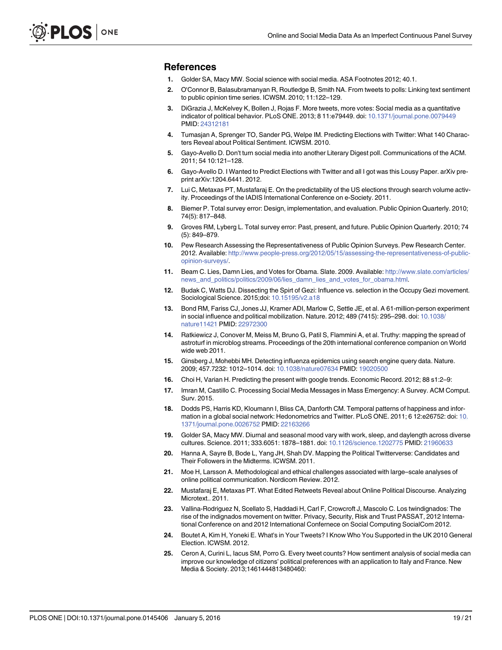#### <span id="page-18-0"></span>References

- [1.](#page-0-0) Golder SA, Macy MW. Social science with social media. ASA Footnotes 2012; 40.1.
- [2.](#page-1-0) O'Connor B, Balasubramanyan R, Routledge B, Smith NA. From tweets to polls: Linking text sentiment to public opinion time series. ICWSM. 2010; 11:122–129.
- [3.](#page-1-0) DiGrazia J, McKelvey K, Bollen J, Rojas F. More tweets, more votes: Social media as a quantitative indicator of political behavior. PLoS ONE. 2013; 8 11:e79449. doi: [10.1371/journal.pone.0079449](http://dx.doi.org/10.1371/journal.pone.0079449) PMID: [24312181](http://www.ncbi.nlm.nih.gov/pubmed/24312181)
- [4.](#page-1-0) Tumasjan A, Sprenger TO, Sander PG, Welpe IM. Predicting Elections with Twitter: What 140 Characters Reveal about Political Sentiment. ICWSM. 2010.
- [5.](#page-1-0) Gayo-Avello D. Don't turn social media into another Literary Digest poll. Communications of the ACM. 2011; 54 10:121–128.
- [6.](#page-1-0) Gayo-Avello D. I Wanted to Predict Elections with Twitter and all I got was this Lousy Paper. arXiv preprint arXiv:1204.6441. 2012.
- [7.](#page-1-0) Lui C, Metaxas PT, Mustafaraj E. On the predictability of the US elections through search volume activity. Proceedings of the IADIS International Conference on e-Society. 2011.
- [8.](#page-2-0) Biemer P. Total survey error: Design, implementation, and evaluation. Public Opinion Quarterly. 2010; 74(5): 817–848.
- [9.](#page-2-0) Groves RM, Lyberg L. Total survey error: Past, present, and future. Public Opinion Quarterly. 2010; 74 (5): 849–879.
- [10.](#page-2-0) Pew Research Assessing the Representativeness of Public Opinion Surveys. Pew Research Center. 2012. Available: [http://www.people-press.org/2012/05/15/assessing-the-representativeness-of-public](http://www.people-press.org/2012/05/15/assessing-the-representativeness-of-public-opinion-surveys/)[opinion-surveys/.](http://www.people-press.org/2012/05/15/assessing-the-representativeness-of-public-opinion-surveys/)
- [11.](#page-2-0) Beam C. Lies, Damn Lies, and Votes for Obama. Slate. 2009. Available: [http://www.slate.com/articles/](http://www.slate.com/articles/news_and_politics/politics/2009/06/lies_damn_lies_and_votes_for_obama.html) [news\\_and\\_politics/politics/2009/06/lies\\_damn\\_lies\\_and\\_votes\\_for\\_obama.html](http://www.slate.com/articles/news_and_politics/politics/2009/06/lies_damn_lies_and_votes_for_obama.html).
- [12.](#page-2-0) Budak C, Watts DJ. Dissecting the Spirt of Gezi: Influence vs. selection in the Occupy Gezi movement. Sociological Science. 2015;doi: [10.15195/v2.a18](http://dx.doi.org/10.15195/v2.a18)
- [13.](#page-3-0) Bond RM, Fariss CJ, Jones JJ, Kramer ADI, Marlow C, Settle JE, et al. A 61-million-person experiment in social influence and political mobilization. Nature. 2012; 489 (7415): 295–298. doi: [10.1038/](http://dx.doi.org/10.1038/nature11421) [nature11421](http://dx.doi.org/10.1038/nature11421) PMID: [22972300](http://www.ncbi.nlm.nih.gov/pubmed/22972300)
- [14.](#page-3-0) Ratkiewicz J, Conover M, Meiss M, Bruno G, Patil S, Flammini A, et al. Truthy: mapping the spread of astroturf in microblog streams. Proceedings of the 20th international conference companion on World wide web 2011.
- [15.](#page-3-0) Ginsberg J, Mohebbi MH. Detecting influenza epidemics using search engine query data. Nature. 2009; 457.7232: 1012–1014. doi: [10.1038/nature07634](http://dx.doi.org/10.1038/nature07634) PMID: [19020500](http://www.ncbi.nlm.nih.gov/pubmed/19020500)
- [16.](#page-3-0) Choi H, Varian H. Predicting the present with google trends. Economic Record. 2012; 88 s1:2–9:
- [17.](#page-3-0) Imran M, Castillo C. Processing Social Media Messages in Mass Emergency: A Survey. ACM Comput. Surv. 2015.
- [18.](#page-3-0) Dodds PS, Harris KD, Kloumann I, Bliss CA, Danforth CM. Temporal patterns of happiness and information in a global social network: Hedonometrics and Twitter. PLoS ONE. 2011; 6 12:e26752: doi: [10.](http://dx.doi.org/10.1371/journal.pone.0026752) [1371/journal.pone.0026752](http://dx.doi.org/10.1371/journal.pone.0026752) PMID: [22163266](http://www.ncbi.nlm.nih.gov/pubmed/22163266)
- [19.](#page-3-0) Golder SA, Macy MW. Diurnal and seasonal mood vary with work, sleep, and daylength across diverse cultures. Science. 2011; 333.6051: 1878–1881. doi: [10.1126/science.1202775](http://dx.doi.org/10.1126/science.1202775) PMID: [21960633](http://www.ncbi.nlm.nih.gov/pubmed/21960633)
- [20.](#page-3-0) Hanna A, Sayre B, Bode L, Yang JH, Shah DV. Mapping the Political Twitterverse: Candidates and Their Followers in the Midterms. ICWSM. 2011.
- [21.](#page-3-0) Moe H, Larsson A. Methodological and ethical challenges associated with large–scale analyses of online political communication. Nordicom Review. 2012.
- [22.](#page-3-0) Mustafaraj E, Metaxas PT. What Edited Retweets Reveal about Online Political Discourse. Analyzing Microtext.. 2011.
- [23.](#page-3-0) Vallina-Rodriguez N, Scellato S, Haddadi H, Carl F, Crowcroft J, Mascolo C. Los twindignados: The rise of the indignados movement on twitter. Privacy, Security, Risk and Trust PASSAT, 2012 International Conference on and 2012 International Confernece on Social Computing SocialCom 2012.
- [24.](#page-3-0) Boutet A, Kim H, Yoneki E. What's in Your Tweets? I Know Who You Supported in the UK 2010 General Election. ICWSM. 2012.
- [25.](#page-3-0) Ceron A, Curini L, Iacus SM, Porro G. Every tweet counts? How sentiment analysis of social media can improve our knowledge of citizens' political preferences with an application to Italy and France. New Media & Society. 2013;1461444813480460: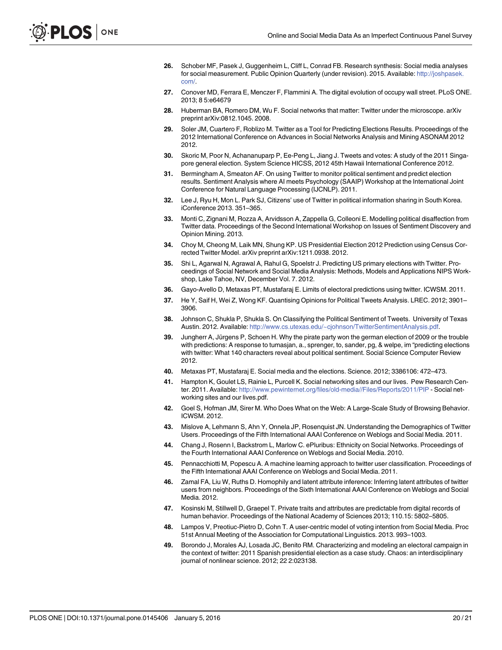- <span id="page-19-0"></span>[26.](#page-3-0) Schober MF, Pasek J, Guggenheim L, Cliff L, Conrad FB. Research synthesis: Social media analyses for social measurement. Public Opinion Quarterly (under revision). 2015. Available: [http://joshpasek.](http://joshpasek.com/) [com/](http://joshpasek.com/).
- [27.](#page-3-0) Conover MD, Ferrara E, Menczer F, Flammini A. The digital evolution of occupy wall street. PLoS ONE. 2013; 8 5:e64679
- [28.](#page-3-0) Huberman BA, Romero DM, Wu F. Social networks that matter: Twitter under the microscope. arXiv preprint arXiv:0812.1045. 2008.
- [29.](#page-3-0) Soler JM, Cuartero F, Roblizo M. Twitter as a Tool for Predicting Elections Results. Proceedings of the 2012 International Conference on Advances in Social Networks Analysis and Mining ASONAM 2012 2012.
- [30.](#page-3-0) Skoric M, Poor N, Achananuparp P, Ee-Peng L, Jiang J. Tweets and votes: A study of the 2011 Singapore general election. System Science HICSS, 2012 45th Hawaii International Conference 2012.
- [31.](#page-3-0) Bermingham A, Smeaton AF. On using Twitter to monitor political sentiment and predict election results. Sentiment Analysis where AI meets Psychology (SAAIP) Workshop at the International Joint Conference for Natural Language Processing (IJCNLP). 2011.
- [32.](#page-3-0) Lee J, Ryu H, Mon L. Park SJ, Citizens' use of Twitter in political information sharing in South Korea. iConference 2013. 351–365.
- [33.](#page-3-0) Monti C, Zignani M, Rozza A, Arvidsson A, Zappella G, Colleoni E. Modelling political disaffection from Twitter data. Proceedings of the Second International Workshop on Issues of Sentiment Discovery and Opinion Mining. 2013.
- [34.](#page-3-0) Choy M, Cheong M, Laik MN, Shung KP. US Presidential Election 2012 Prediction using Census Corrected Twitter Model. arXiv preprint arXiv:1211.0938. 2012.
- [35.](#page-3-0) Shi L, Agarwal N, Agrawal A, Rahul G, Spoelstr J. Predicting US primary elections with Twitter. Proceedings of Social Network and Social Media Analysis: Methods, Models and Applications NIPS Workshop, Lake Tahoe, NV, December Vol. 7. 2012.
- [36.](#page-3-0) Gayo-Avello D, Metaxas PT, Mustafaraj E. Limits of electoral predictions using twitter. ICWSM. 2011.
- [37.](#page-3-0) He Y, Saif H, Wei Z, Wong KF. Quantising Opinions for Political Tweets Analysis. LREC. 2012; 3901– 3906.
- [38.](#page-3-0) Johnson C, Shukla P, Shukla S. On Classifying the Political Sentiment of Tweets. University of Texas Austin. 2012. Available: [http://www.cs.utexas.edu/~cjohnson/TwitterSentimentAnalysis.pdf.](http://www.cs.utexas.edu/~cjohnson/TwitterSentimentAnalysis.pdf)
- [39.](#page-3-0) Jungherr A, Jürgens P, Schoen H. Why the pirate party won the german election of 2009 or the trouble with predictions: A response to tumasjan, a., sprenger, to, sander, pg, & welpe, im "predicting elections with twitter: What 140 characters reveal about political sentiment. Social Science Computer Review 2012.
- [40.](#page-4-0) Metaxas PT, Mustafaraj E. Social media and the elections. Science. 2012; 3386106: 472–473.
- [41.](#page-4-0) Hampton K, Goulet LS, Rainie L, Purcell K. Social networking sites and our lives. Pew Research Center. 2011. Available: <http://www.pewinternet.org/files/old-media//Files/Reports/2011/PIP> - Social networking sites and our lives.pdf.
- [42.](#page-4-0) Goel S, Hofman JM, Sirer M. Who Does What on the Web: A Large-Scale Study of Browsing Behavior. ICWSM. 2012.
- [43.](#page-4-0) Mislove A, Lehmann S, Ahn Y, Onnela JP, Rosenquist JN. Understanding the Demographics of Twitter Users. Proceedings of the Fifth International AAAI Conference on Weblogs and Social Media. 2011.
- [44.](#page-4-0) Chang J, Rosenn I, Backstrom L, Marlow C. ePluribus: Ethnicity on Social Networks. Proceedings of the Fourth International AAAI Conference on Weblogs and Social Media. 2010.
- [45.](#page-4-0) Pennacchiotti M, Popescu A. A machine learning approach to twitter user classification. Proceedings of the Fifth International AAAI Conference on Weblogs and Social Media. 2011.
- [46.](#page-4-0) Zamal FA, Liu W, Ruths D. Homophily and latent attribute inference: Inferring latent attributes of twitter users from neighbors. Proceedings of the Sixth International AAAI Conference on Weblogs and Social Media. 2012.
- [47.](#page-4-0) Kosinski M, Stillwell D, Graepel T. Private traits and attributes are predictable from digital records of human behavior. Proceedings of the National Academy of Sciences 2013; 110.15: 5802–5805.
- [48.](#page-4-0) Lampos V, Preotiuc-Pietro D, Cohn T. A user-centric model of voting intention from Social Media. Proc 51st Annual Meeting of the Association for Computational Linguistics. 2013. 993–1003.
- [49.](#page-4-0) Borondo J, Morales AJ, Losada JC, Benito RM. Characterizing and modeling an electoral campaign in the context of twitter: 2011 Spanish presidential election as a case study. Chaos: an interdisciplinary journal of nonlinear science. 2012; 22 2:023138.